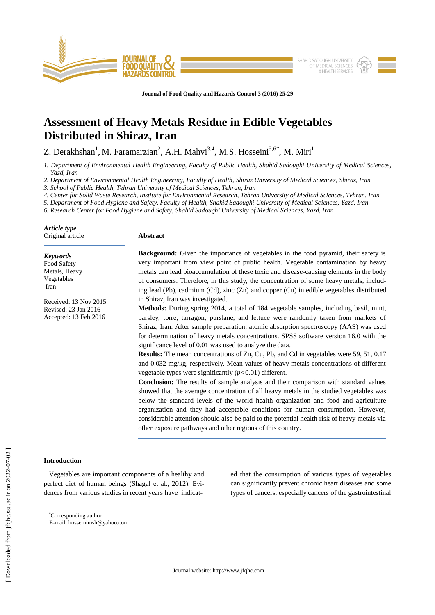

**Journal of Food Quality and Hazards Control 3 (2016) 25-29**

# **Assessment of Heavy Metals Residue in Edible Vegetables Distributed in Shiraz, Iran**

Z. Derakhshan<sup>1</sup>, M. Faramarzian<sup>2</sup>, A.H. Mahvi<sup>3,4</sup>, M.S. Hosseini<sup>5,6\*</sup>, M. Miri<sup>1</sup>

*1. Department of Environmental Health Engineering, Faculty of Public Health, Shahid Sadoughi University of Medical Sciences, Yazd, Iran*

*2. Department of Environmental Health Engineering, Faculty of Health, Shiraz University of Medical Sciences, Shiraz, Iran*

*3. School of Public Health, Tehran University of Medical Sciences, Tehran, Iran*

*4. Center for Solid Waste Research, Institute for Environmental Research, Tehran University of Medical Sciences, Tehran, Iran*

*5. Department of Food Hygiene and Safety, Faculty of Health, Shahid Sadoughi University of Medical Sciences, Yazd, Iran*

*6. Research Center for Food Hygiene and Safety, Shahid Sadoughi University of Medical Sciences, Yazd, Iran*

| Article type<br>Original article                                       | <b>Abstract</b>                                                                                                                                                                                                                                                                                                                                                                                                                                                                                                                                                                                                                                                                                                                                                                                                                                                                                                                                                                                                                                                                                                                                                                                                                                         |  |  |  |
|------------------------------------------------------------------------|---------------------------------------------------------------------------------------------------------------------------------------------------------------------------------------------------------------------------------------------------------------------------------------------------------------------------------------------------------------------------------------------------------------------------------------------------------------------------------------------------------------------------------------------------------------------------------------------------------------------------------------------------------------------------------------------------------------------------------------------------------------------------------------------------------------------------------------------------------------------------------------------------------------------------------------------------------------------------------------------------------------------------------------------------------------------------------------------------------------------------------------------------------------------------------------------------------------------------------------------------------|--|--|--|
| <b>Keywords</b><br>Food Safety<br>Metals, Heavy<br>Vegetables<br>Iran  | Background: Given the importance of vegetables in the food pyramid, their safety is<br>very important from view point of public health. Vegetable contamination by heavy<br>metals can lead bioaccumulation of these toxic and disease-causing elements in the body<br>of consumers. Therefore, in this study, the concentration of some heavy metals, includ-<br>ing lead (Pb), cadmium (Cd), zinc (Zn) and copper (Cu) in edible vegetables distributed                                                                                                                                                                                                                                                                                                                                                                                                                                                                                                                                                                                                                                                                                                                                                                                               |  |  |  |
| Received: 13 Nov 2015<br>Revised: 23 Jan 2016<br>Accepted: 13 Feb 2016 | in Shiraz, Iran was investigated.<br>Methods: During spring 2014, a total of 184 vegetable samples, including basil, mint,<br>parsley, torre, tarragon, purslane, and lettuce were randomly taken from markets of<br>Shiraz, Iran. After sample preparation, atomic absorption spectroscopy (AAS) was used<br>for determination of heavy metals concentrations. SPSS software version 16.0 with the<br>significance level of 0.01 was used to analyze the data.<br><b>Results:</b> The mean concentrations of Zn, Cu, Pb, and Cd in vegetables were 59, 51, 0.17<br>and 0.032 mg/kg, respectively. Mean values of heavy metals concentrations of different<br>vegetable types were significantly $(p<0.01)$ different.<br><b>Conclusion:</b> The results of sample analysis and their comparison with standard values<br>showed that the average concentration of all heavy metals in the studied vegetables was<br>below the standard levels of the world health organization and food and agriculture<br>organization and they had acceptable conditions for human consumption. However,<br>considerable attention should also be paid to the potential health risk of heavy metals via<br>other exposure pathways and other regions of this country. |  |  |  |

# **Introduction**

 $\overline{a}$ 

 Vegetables are important components of a healthy and perfect diet of human beings (Shagal et al., 2012). Evidences from various studies in recent years have indicated that the consumption of various types of vegetables can significantly prevent chronic heart diseases and some types of cancers, especially cancers of the gastrointestinal

<sup>\*</sup>Corresponding author

E-mail: hosseinimsh@yahoo.com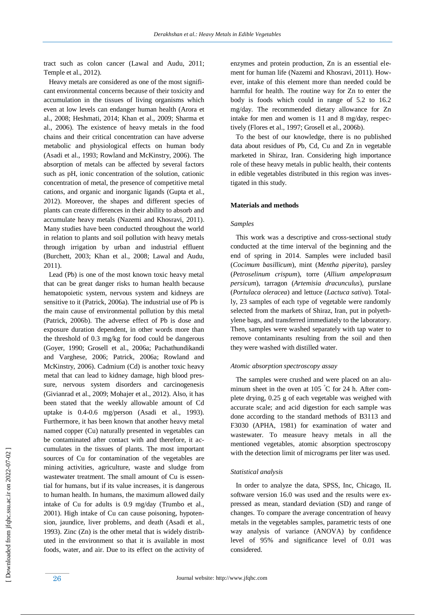tract such as colon cancer (Lawal and Audu, 2011; Temple et al., 2012).

 Heavy metals are considered as one of the most significant environmental concerns because of their toxicity and accumulation in the tissues of living organisms which even at low levels can endanger human health (Arora et al., 2008; Heshmati, 2014; Khan et al., 2009; Sharma et al., 2006). The existence of heavy metals in the food chains and their critical concentration can have adverse metabolic and physiological effects on human body (Asadi et al., 1993; Rowland and McKinstry, 2006). The absorption of metals can be affected by several factors such as pH, ionic concentration of the solution, cationic concentration of metal, the presence of competitive metal cations, and organic and inorganic ligands (Gupta et al., 2012). Moreover, the shapes and different species of plants can create differences in their ability to absorb and accumulate heavy metals (Nazemi and Khosravi, 2011). Many studies have been conducted throughout the world in relation to plants and soil pollution with heavy metals through irrigation by urban and industrial effluent (Burchett, 2003; Khan et al., 2008; Lawal and Audu, 2011).

 Lead (Pb) is one of the most known toxic heavy metal that can be great danger risks to human health because hematopoietic system, nervous system and kidneys are sensitive to it (Patrick, 2006a). The industrial use of Pb is the main cause of environmental pollution by this metal (Patrick, 2006b). The adverse effect of Pb is dose and exposure duration dependent, in other words more than the threshold of 0.3 mg/kg for food could be dangerous (Goyer, 1990; Grosell et al., 2006a; Pachathundikandi and Varghese, 2006; Patrick, 2006a; Rowland and McKinstry, 2006). Cadmium (Cd) is another toxic heavy metal that can lead to kidney damage, high blood pressure, nervous system disorders and carcinogenesis (Givianrad et al., 2009; Mohajer et al., 2012). Also, it has been stated that the weekly allowable amount of Cd uptake is 0.4-0.6 mg/person (Asadi et al., 1993). Furthermore, it has been known that another heavy metal named copper (Cu) naturally presented in vegetables can be contaminated after contact with and therefore, it accumulates in the tissues of plants. The most important sources of Cu for contamination of the vegetables are mining activities, agriculture, waste and sludge from wastewater treatment. The small amount of Cu is essential for humans, but if its value increases, it is dangerous to human health. In humans, the maximum allowed daily intake of Cu for adults is 0.9 mg/day (Trumbo et al., 2001). High intake of Cu can cause poisoning, hypotension, jaundice, liver problems, and death (Asadi et al., 1993). Zinc (Zn) is the other metal that is widely distributed in the environment so that it is available in most foods, water, and air. Due to its effect on the activity of

enzymes and protein production, Zn is an essential element for human life (Nazemi and Khosravi, 2011). However, intake of this element more than needed could be harmful for health. The routine way for Zn to enter the body is foods which could in range of 5.2 to 16.2 mg/day. The recommended dietary allowance for Zn intake for men and women is 11 and 8 mg/day, respectively (Flores et al., 1997; Grosell et al., 2006b).

 To the best of our knowledge, there is no published data about residues of Pb, Cd, Cu and Zn in vegetable marketed in Shiraz, Iran. Considering high importance role of these heavy metals in public health, their contents in edible vegetables distributed in this region was investigated in this study.

## **Materials and methods**

#### *Samples*

 This work was a descriptive and cross-sectional study conducted at the time interval of the beginning and the end of spring in 2014. Samples were included basil (*Cocimum basillicum*), mint (*Mentha piperita*), parsley (*Petroselinum crispum*), torre (*Allium ampeloprasum persicum*), tarragon (*Artemisia dracunculus*), purslane (*Portulaca oleracea*) and lettuce (*Lactuca sativa*). Totally, 23 samples of each type of vegetable were randomly selected from the markets of Shiraz, Iran, put in polyethylene bags, and transferred immediately to the laboratory. Then, samples were washed separately with tap water to remove contaminants resulting from the soil and then they were washed with distilled water.

### *Atomic absorption spectroscopy assay*

 The samples were crushed and were placed on an aluminum sheet in the oven at 105  $\degree$ C for 24 h. After complete drying, 0.25 g of each vegetable was weighed with accurate scale; and acid digestion for each sample was done according to the standard methods of B3113 and F3030 (APHA, 1981) for examination of water and wastewater. To measure heavy metals in all the mentioned vegetables, atomic absorption spectroscopy with the detection limit of micrograms per liter was used.

## *Statistical analysis*

 In order to analyze the data, SPSS, Inc, Chicago, IL software version 16.0 was used and the results were expressed as mean, standard deviation (SD) and range of changes. To compare the average concentration of heavy metals in the vegetables samples, parametric tests of one way analysis of variance (ANOVA) by confidence level of 95% and significance level of 0.01 was considered.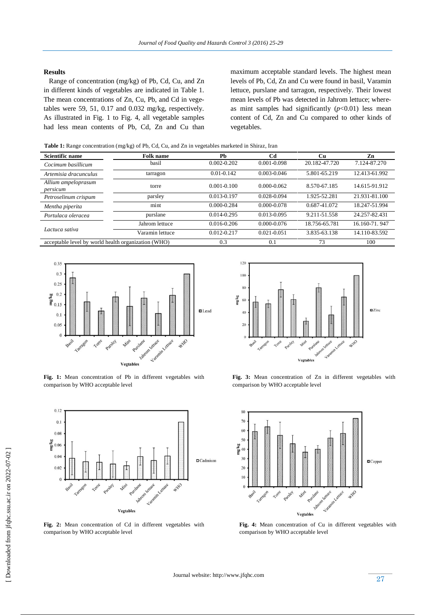# **Results**

 Range of concentration (mg/kg) of Pb, Cd, Cu, and Zn in different kinds of vegetables are indicated in Table 1. The mean concentrations of Zn, Cu, Pb, and Cd in vegetables were 59, 51, 0.17 and 0.032 mg/kg, respectively. As illustrated in Fig. 1 to Fig. 4, all vegetable samples had less mean contents of Pb, Cd, Zn and Cu than maximum acceptable standard levels. The highest mean levels of Pb, Cd, Zn and Cu were found in basil, Varamin lettuce, purslane and tarragon, respectively. Their lowest mean levels of Pb was detected in Jahrom lettuce; whereas mint samples had significantly  $(p<0.01)$  less mean content of Cd, Zn and Cu compared to other kinds of vegetables.

**Table 1:** Range concentration (mg/kg) of Pb, Cd, Cu, and Zn in vegetables marketed in Shiraz, Iran

| <b>Scientific name</b>                              | <b>Folk name</b> | Ph              | Cd              | Cu            | Zn            |
|-----------------------------------------------------|------------------|-----------------|-----------------|---------------|---------------|
| Cocimum basillicum                                  | basil            | $0.002 - 0.202$ | 0.001-0.098     | 20.182-47.720 | 7.124-87.270  |
| Artemisia dracunculus                               | tarragon         | $0.01 - 0.142$  | 0.003-0.046     | 5.801-65.219  | 12.413-61.992 |
| Allium ampeloprasum<br>persicum                     | torre            | $0.001 - 0.100$ | $0.000 - 0.062$ | 8.570-67.185  | 14.615-91.912 |
| Petroselinum crispum                                | parsley          | 0.013-0.197     | 0.028-0.094     | 1.925-52.281  | 21.931-81.100 |
| Mentha piperita                                     | mint             | 0.000-0.284     | 0.000-0.078     | 0.687-41.072  | 18.247-51.994 |
| Portulaca oleracea                                  | purslane         | 0.014-0.295     | 0.013-0.095     | 9.211-51.558  | 24.257-82.431 |
| Lactuca sativa                                      | Jahrom lettuce   | $0.016 - 0.206$ | $0.000 - 0.076$ | 18.756-65.781 | 16.160-71.947 |
|                                                     | Varamin lettuce  | $0.012 - 0.217$ | $0.021 - 0.051$ | 3.835-63.138  | 14.110-83.592 |
| acceptable level by world health organization (WHO) |                  | 0.3             | 0.1             | 73            | 100           |



**Fig. 1:** Mean concentration of Pb in different vegetables with comparison by WHO acceptable level



**Fig. 2:** Mean concentration of Cd in different vegetables with comparison by WHO acceptable level



**Fig. 3:** Mean concentration of Zn in different vegetables with comparison by WHO acceptable level



**Fig. 4:** Mean concentration of Cu in different vegetables with comparison by WHO acceptable level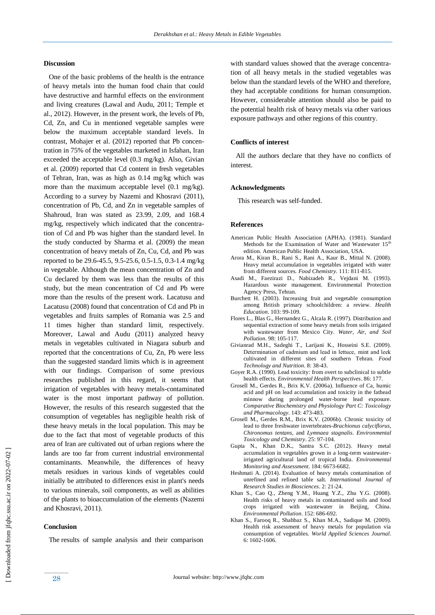## **Discussion**

 One of the basic problems of the health is the entrance of heavy metals into the human food chain that could have destructive and harmful effects on the environment and living creatures (Lawal and Audu, 2011; Temple et al., 2012). However, in the present work, the levels of Pb, Cd, Zn, and Cu in mentioned vegetable samples were below the maximum acceptable standard levels. In contrast, Mohajer et al. (2012) reported that Pb concentration in 75% of the vegetables marketed in Isfahan, Iran exceeded the acceptable level (0.3 mg/kg). Also, Givian et al. (2009) reported that Cd content in fresh vegetables of Tehran, Iran, was as high as 0.14 mg/kg which was more than the maximum acceptable level (0.1 mg/kg). According to a survey by Nazemi and Khosravi (2011), concentration of Pb, Cd, and Zn in vegetable samples of Shahroud, Iran was stated as 23.99, 2.09, and 168.4 mg/kg, respectively which indicated that the concentration of Cd and Pb was higher than the standard level. In the study conducted by Sharma et al. (2009) the mean concentration of heavy metals of Zn, Cu, Cd, and Pb was reported to be 29.6-45.5, 9.5-25.6, 0.5-1.5, 0.3-1.4 mg/kg in vegetable. Although the mean concentration of Zn and Cu declared by them was less than the results of this study, but the mean concentration of Cd and Pb were more than the results of the present work. Lacatusu and Lacatusu (2008) found that concentration of Cd and Pb in vegetables and fruits samples of Romania was 2.5 and 11 times higher than standard limit, respectively. Moreover, Lawal and Audu (2011) analyzed heavy metals in vegetables cultivated in Niagara suburb and reported that the concentrations of Cu, Zn, Pb were less than the suggested standard limits which is in agreement with our findings. Comparison of some previous researches published in this regard, it seems that irrigation of vegetables with heavy metals-contaminated water is the most important pathway of pollution. However, the results of this research suggested that the consumption of vegetables has negligible health risk of these heavy metals in the local population. This may be due to the fact that most of vegetable products of this area of Iran are cultivated out of urban regions where the lands are too far from current industrial environmental contaminants. Meanwhile, the differences of heavy metals residues in various kinds of vegetables could initially be attributed to differences exist in plant's needs to various minerals, soil components, as well as abilities of the plants to bioaccumulation of the elements (Nazemi and Khosravi, 2011).

## **Conclusion**

The results of sample analysis and their comparison

with standard values showed that the average concentration of all heavy metals in the studied vegetables was below than the standard levels of the WHO and therefore, they had acceptable conditions for human consumption. However, considerable attention should also be paid to the potential health risk of heavy metals via other various exposure pathways and other regions of this country.

## **Conflicts of interest**

 All the authors declare that they have no conflicts of interest.

## **Acknowledgments**

This research was self-funded.

#### **References**

- American Public Health Association (APHA). (1981). Standard Methods for the Examination of Water and Wastewater 15<sup>th</sup> edition. American Public Health Association, USA.
- Arora M., Kiran B., Rani S., Rani A., Kaur B., Mittal N. (2008). Heavy metal accumulation in vegetables irrigated with water from different sources. *Food Chemistry.* 111: 811-815.
- Asadi M., Faezirazi D., Nabizadeh R., Vejdani M. (1993). Hazardous waste management. Environmental Protection Agency Press, Tehran.
- Burchett H. (2003). Increasing fruit and vegetable consumption among British primary schoolchildren: a review. *Health Education.* 103: 99-109.
- Flores L., Blas G., Hernandez G., Alcala R. (1997). Distribution and sequential extraction of some heavy metals from soils irrigated with wastewater from Mexico City. *Water, Air, and Soil Pollution*. 98: 105-117.
- Givianrad M.H., Sadeghi T., Larijani K., Hosseini S.E. (2009). Determination of cadmium and lead in lettuce, mint and leek cultivated in different sites of southern Tehran. *Food Technology and Nutrition*. 8: 38-43.
- Goyer R.A. (1990). Lead toxicity: from overt to subclinical to subtle health effects. *Environmental Health Perspectives*. 86: 177.
- Grosell M., Gerdes R., Brix K.V. (2006a). Influence of Ca, humic acid and pH on lead accumulation and toxicity in the fathead minnow during prolonged water-borne lead exposure. *Comparative Biochemistry and Physiology Part C: Toxicology and Pharmacology*. 143: 473-483.
- Grosell M., Gerdes R.M., Brix K.V. (2006b). Chronic toxicity of lead to three freshwater invertebrates-*Brachionus calyciflorus*, *Chironomus tentans*, and *Lymnaea stagnalis*. *Environmental Toxicology and Chemistry*. 25: 97-104.
- Gupta N., Khan D.K., Santra S.C. (2012). Heavy metal accumulation in vegetables grown in a long-term wastewaterirrigated agricultural land of tropical India. *Environmental Monitoring and Assessment*. 184: 6673-6682.
- Heshmati A. (2014). Evaluation of heavy metals contamination of unrefined and refined table salt. *International Journal of Research Studies in Biosciences*. 2: 21-24.
- Khan S., Cao Q., Zheng Y.M., Huang Y.Z., Zhu Y.G. (2008). Health risks of heavy metals in contaminated soils and food crops irrigated with wastewater in Beijing, China. *Environmental Pollution*. 152: 686-692.
- Khan S., Farooq R., Shahbaz S., Khan M.A., Sadique M. (2009). Health risk assessment of heavy metals for population via consumption of vegetables. *World Applied Sciences Journal*. 6: 1602-1606.